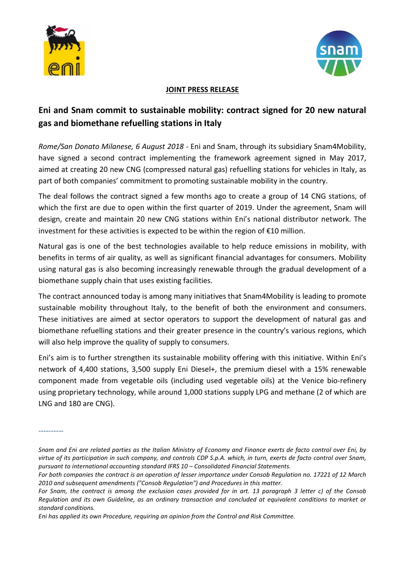



## **JOINT PRESS RELEASE**

## **Eni and Snam commit to sustainable mobility: contract signed for 20 new natural gas and biomethane refuelling stations in Italy**

*Rome/San Donato Milanese, 6 August 2018* - Eni and Snam, through its subsidiary Snam4Mobility, have signed a second contract implementing the framework agreement signed in May 2017, aimed at creating 20 new CNG (compressed natural gas) refuelling stations for vehicles in Italy, as part of both companies' commitment to promoting sustainable mobility in the country.

The deal follows the contract signed a few months ago to create a group of 14 CNG stations, of which the first are due to open within the first quarter of 2019. Under the agreement, Snam will design, create and maintain 20 new CNG stations within Eni's national distributor network. The investment for these activities is expected to be within the region of  $£10$  million.

Natural gas is one of the best technologies available to help reduce emissions in mobility, with benefits in terms of air quality, as well as significant financial advantages for consumers. Mobility using natural gas is also becoming increasingly renewable through the gradual development of a biomethane supply chain that uses existing facilities.

The contract announced today is among many initiatives that Snam4Mobility is leading to promote sustainable mobility throughout Italy, to the benefit of both the environment and consumers. These initiatives are aimed at sector operators to support the development of natural gas and biomethane refuelling stations and their greater presence in the country's various regions, which will also help improve the quality of supply to consumers.

Eni's aim is to further strengthen its sustainable mobility offering with this initiative. Within Eni's network of 4,400 stations, 3,500 supply Eni Diesel+, the premium diesel with a 15% renewable component made from vegetable oils (including used vegetable oils) at the Venice bio-refinery using proprietary technology, while around 1,000 stations supply LPG and methane (2 of which are LNG and 180 are CNG).

----------

*Eni has applied its own Procedure, requiring an opinion from the Control and Risk Committee.*

*Snam and Eni are related parties as the Italian Ministry of Economy and Finance exerts de facto control over Eni, by virtue of its participation in such company, and controls CDP S.p.A. which, in turn, exerts de facto control over Snam, pursuant to international accounting standard IFRS 10 – Consolidated Financial Statements.*

*For both companies the contract is an operation of lesser importance under Consob Regulation no. 17221 of 12 March 2010 and subsequent amendments ("Consob Regulation") and Procedures in this matter.*

*For Snam, the contract is among the exclusion cases provided for in art. 13 paragraph 3 letter c) of the Consob Regulation and its own Guideline, as an ordinary transaction and concluded at equivalent conditions to market or standard conditions.*